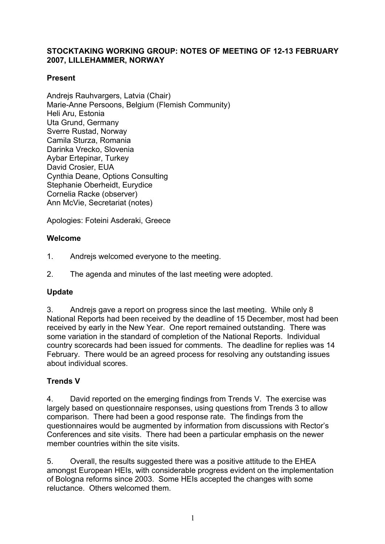## **STOCKTAKING WORKING GROUP: NOTES OF MEETING OF 12-13 FEBRUARY 2007, LILLEHAMMER, NORWAY**

## **Present**

Andreis Rauhvargers, Latvia (Chair) Marie-Anne Persoons, Belgium (Flemish Community) Heli Aru, Estonia Uta Grund, Germany Sverre Rustad, Norway Camila Sturza, Romania Darinka Vrecko, Slovenia Aybar Ertepinar, Turkey David Crosier, EUA Cynthia Deane, Options Consulting Stephanie Oberheidt, Eurydice Cornelia Racke (observer) Ann McVie, Secretariat (notes)

Apologies: Foteini Asderaki, Greece

## **Welcome**

- 1. Andrejs welcomed everyone to the meeting.
- 2. The agenda and minutes of the last meeting were adopted.

## **Update**

3. Andrejs gave a report on progress since the last meeting. While only 8 National Reports had been received by the deadline of 15 December, most had been received by early in the New Year. One report remained outstanding. There was some variation in the standard of completion of the National Reports. Individual country scorecards had been issued for comments. The deadline for replies was 14 February. There would be an agreed process for resolving any outstanding issues about individual scores.

## **Trends V**

4. David reported on the emerging findings from Trends V. The exercise was largely based on questionnaire responses, using questions from Trends 3 to allow comparison. There had been a good response rate. The findings from the questionnaires would be augmented by information from discussions with Rector's Conferences and site visits. There had been a particular emphasis on the newer member countries within the site visits.

5. Overall, the results suggested there was a positive attitude to the EHEA amongst European HEIs, with considerable progress evident on the implementation of Bologna reforms since 2003. Some HEIs accepted the changes with some reluctance. Others welcomed them.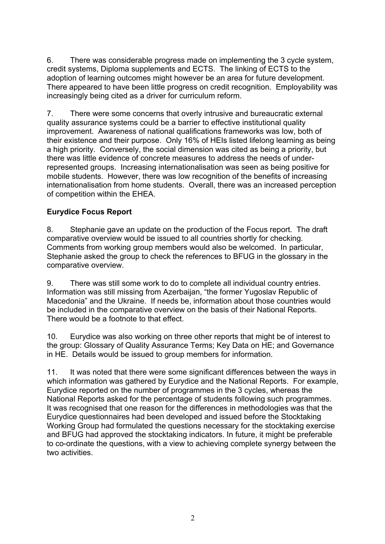6. There was considerable progress made on implementing the 3 cycle system, credit systems, Diploma supplements and ECTS. The linking of ECTS to the adoption of learning outcomes might however be an area for future development. There appeared to have been little progress on credit recognition. Employability was increasingly being cited as a driver for curriculum reform.

7. There were some concerns that overly intrusive and bureaucratic external quality assurance systems could be a barrier to effective institutional quality improvement. Awareness of national qualifications frameworks was low, both of their existence and their purpose. Only 16% of HEIs listed lifelong learning as being a high priority. Conversely, the social dimension was cited as being a priority, but there was little evidence of concrete measures to address the needs of underrepresented groups. Increasing internationalisation was seen as being positive for mobile students. However, there was low recognition of the benefits of increasing internationalisation from home students. Overall, there was an increased perception of competition within the EHEA.

## **Eurydice Focus Report**

8. Stephanie gave an update on the production of the Focus report. The draft comparative overview would be issued to all countries shortly for checking. Comments from working group members would also be welcomed. In particular, Stephanie asked the group to check the references to BFUG in the glossary in the comparative overview.

9. There was still some work to do to complete all individual country entries. Information was still missing from Azerbaijan, "the former Yugoslav Republic of Macedonia" and the Ukraine. If needs be, information about those countries would be included in the comparative overview on the basis of their National Reports. There would be a footnote to that effect.

10. Eurydice was also working on three other reports that might be of interest to the group: Glossary of Quality Assurance Terms; Key Data on HE; and Governance in HE. Details would be issued to group members for information.

11. It was noted that there were some significant differences between the ways in which information was gathered by Eurydice and the National Reports. For example, Eurydice reported on the number of programmes in the 3 cycles, whereas the National Reports asked for the percentage of students following such programmes. It was recognised that one reason for the differences in methodologies was that the Eurydice questionnaires had been developed and issued before the Stocktaking Working Group had formulated the questions necessary for the stocktaking exercise and BFUG had approved the stocktaking indicators. In future, it might be preferable to co-ordinate the questions, with a view to achieving complete synergy between the two activities.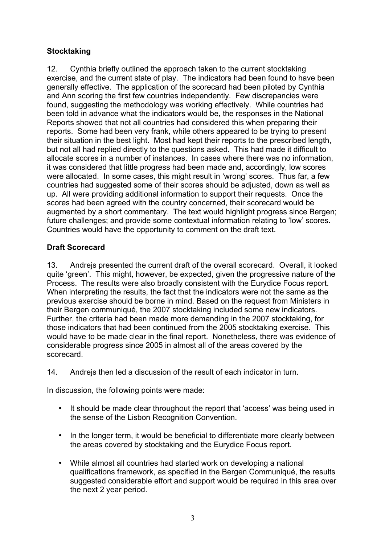# **Stocktaking**

12. Cynthia briefly outlined the approach taken to the current stocktaking exercise, and the current state of play. The indicators had been found to have been generally effective. The application of the scorecard had been piloted by Cynthia and Ann scoring the first few countries independently. Few discrepancies were found, suggesting the methodology was working effectively. While countries had been told in advance what the indicators would be, the responses in the National Reports showed that not all countries had considered this when preparing their reports. Some had been very frank, while others appeared to be trying to present their situation in the best light. Most had kept their reports to the prescribed length, but not all had replied directly to the questions asked. This had made it difficult to allocate scores in a number of instances. In cases where there was no information, it was considered that little progress had been made and, accordingly, low scores were allocated. In some cases, this might result in 'wrong' scores. Thus far, a few countries had suggested some of their scores should be adjusted, down as well as up. All were providing additional information to support their requests. Once the scores had been agreed with the country concerned, their scorecard would be augmented by a short commentary. The text would highlight progress since Bergen; future challenges; and provide some contextual information relating to 'low' scores. Countries would have the opportunity to comment on the draft text.

## **Draft Scorecard**

13. Andrejs presented the current draft of the overall scorecard. Overall, it looked quite 'green'. This might, however, be expected, given the progressive nature of the Process. The results were also broadly consistent with the Eurydice Focus report. When interpreting the results, the fact that the indicators were not the same as the previous exercise should be borne in mind. Based on the request from Ministers in their Bergen communiqué, the 2007 stocktaking included some new indicators. Further, the criteria had been made more demanding in the 2007 stocktaking, for those indicators that had been continued from the 2005 stocktaking exercise. This would have to be made clear in the final report. Nonetheless, there was evidence of considerable progress since 2005 in almost all of the areas covered by the scorecard.

14. Andrejs then led a discussion of the result of each indicator in turn.

In discussion, the following points were made:

- It should be made clear throughout the report that 'access' was being used in the sense of the Lisbon Recognition Convention.
- In the longer term, it would be beneficial to differentiate more clearly between the areas covered by stocktaking and the Eurydice Focus report.
- While almost all countries had started work on developing a national qualifications framework, as specified in the Bergen Communiqué, the results suggested considerable effort and support would be required in this area over the next 2 year period.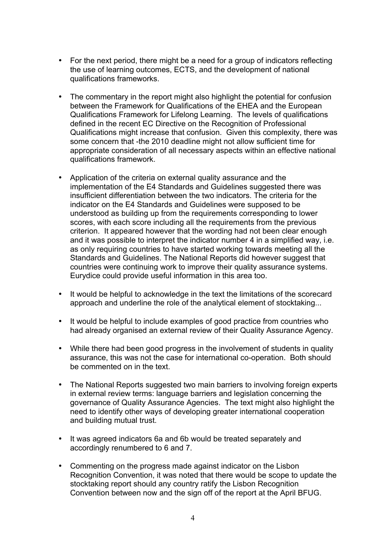- For the next period, there might be a need for a group of indicators reflecting the use of learning outcomes, ECTS, and the development of national qualifications frameworks.
- The commentary in the report might also highlight the potential for confusion between the Framework for Qualifications of the EHEA and the European Qualifications Framework for Lifelong Learning. The levels of qualifications defined in the recent EC Directive on the Recognition of Professional Qualifications might increase that confusion. Given this complexity, there was some concern that -the 2010 deadline might not allow sufficient time for appropriate consideration of all necessary aspects within an effective national qualifications framework.
- Application of the criteria on external quality assurance and the implementation of the E4 Standards and Guidelines suggested there was insufficient differentiation between the two indicators. The criteria for the indicator on the E4 Standards and Guidelines were supposed to be understood as building up from the requirements corresponding to lower scores, with each score including all the requirements from the previous criterion. It appeared however that the wording had not been clear enough and it was possible to interpret the indicator number 4 in a simplified way, i.e. as only requiring countries to have started working towards meeting all the Standards and Guidelines. The National Reports did however suggest that countries were continuing work to improve their quality assurance systems. Eurydice could provide useful information in this area too.
- It would be helpful to acknowledge in the text the limitations of the scorecard approach and underline the role of the analytical element of stocktaking...
- It would be helpful to include examples of good practice from countries who had already organised an external review of their Quality Assurance Agency.
- While there had been good progress in the involvement of students in quality assurance, this was not the case for international co-operation. Both should be commented on in the text.
- The National Reports suggested two main barriers to involving foreign experts in external review terms: language barriers and legislation concerning the governance of Quality Assurance Agencies. The text might also highlight the need to identify other ways of developing greater international cooperation and building mutual trust.
- It was agreed indicators 6a and 6b would be treated separately and accordingly renumbered to 6 and 7.
- Commenting on the progress made against indicator on the Lisbon Recognition Convention, it was noted that there would be scope to update the stocktaking report should any country ratify the Lisbon Recognition Convention between now and the sign off of the report at the April BFUG.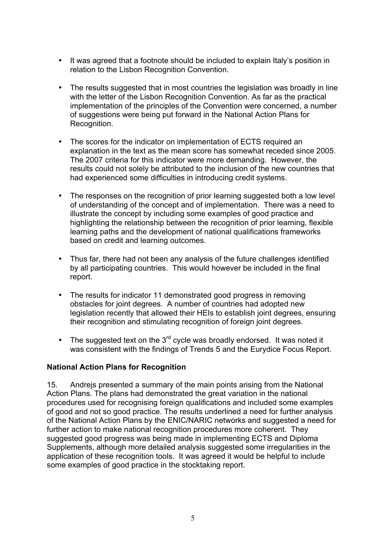- It was agreed that a footnote should be included to explain Italy's position in relation to the Lisbon Recognition Convention.
- The results suggested that in most countries the legislation was broadly in line with the letter of the Lisbon Recognition Convention. As far as the practical implementation of the principles of the Convention were concerned, a number of suggestions were being put forward in the National Action Plans for Recognition.
- The scores for the indicator on implementation of ECTS required an explanation in the text as the mean score has somewhat receded since 2005. The 2007 criteria for this indicator were more demanding. However, the results could not solely be attributed to the inclusion of the new countries that had experienced some difficulties in introducing credit systems.
- The responses on the recognition of prior learning suggested both a low level of understanding of the concept and of implementation. There was a need to illustrate the concept by including some examples of good practice and highlighting the relationship between the recognition of prior learning, flexible learning paths and the development of national qualifications frameworks based on credit and learning outcomes.
- Thus far, there had not been any analysis of the future challenges identified by all participating countries. This would however be included in the final report.
- The results for indicator 11 demonstrated good progress in removing obstacles for joint degrees. A number of countries had adopted new legislation recently that allowed their HEIs to establish joint degrees, ensuring their recognition and stimulating recognition of foreign joint degrees.
- The suggested text on the  $3<sup>rd</sup>$  cycle was broadly endorsed. It was noted it was consistent with the findings of Trends 5 and the Eurydice Focus Report.

## **National Action Plans for Recognition**

15. Andrejs presented a summary of the main points arising from the National Action Plans. The plans had demonstrated the great variation in the national procedures used for recognising foreign qualifications and included some examples of good and not so good practice. The results underlined a need for further analysis of the National Action Plans by the ENIC/NARIC networks and suggested a need for further action to make national recognition procedures more coherent. They suggested good progress was being made in implementing ECTS and Diploma Supplements, although more detailed analysis suggested some irregularities in the application of these recognition tools. It was agreed it would be helpful to include some examples of good practice in the stocktaking report.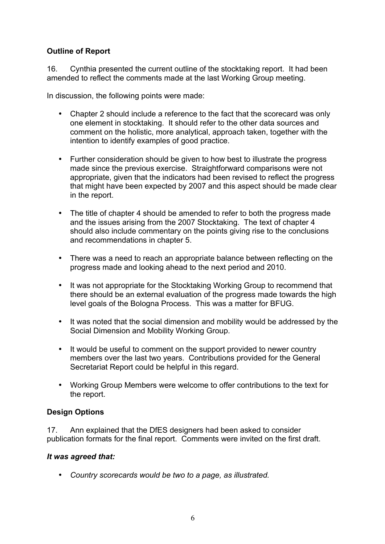## **Outline of Report**

16. Cynthia presented the current outline of the stocktaking report. It had been amended to reflect the comments made at the last Working Group meeting.

In discussion, the following points were made:

- Chapter 2 should include a reference to the fact that the scorecard was only one element in stocktaking. It should refer to the other data sources and comment on the holistic, more analytical, approach taken, together with the intention to identify examples of good practice.
- Further consideration should be given to how best to illustrate the progress made since the previous exercise. Straightforward comparisons were not appropriate, given that the indicators had been revised to reflect the progress that might have been expected by 2007 and this aspect should be made clear in the report.
- The title of chapter 4 should be amended to refer to both the progress made and the issues arising from the 2007 Stocktaking. The text of chapter 4 should also include commentary on the points giving rise to the conclusions and recommendations in chapter 5.
- There was a need to reach an appropriate balance between reflecting on the progress made and looking ahead to the next period and 2010.
- It was not appropriate for the Stocktaking Working Group to recommend that there should be an external evaluation of the progress made towards the high level goals of the Bologna Process. This was a matter for BFUG.
- It was noted that the social dimension and mobility would be addressed by the Social Dimension and Mobility Working Group.
- It would be useful to comment on the support provided to newer country members over the last two years. Contributions provided for the General Secretariat Report could be helpful in this regard.
- Working Group Members were welcome to offer contributions to the text for the report.

## **Design Options**

17. Ann explained that the DfES designers had been asked to consider publication formats for the final report. Comments were invited on the first draft.

## *It was agreed that:*

• *Country scorecards would be two to a page, as illustrated.*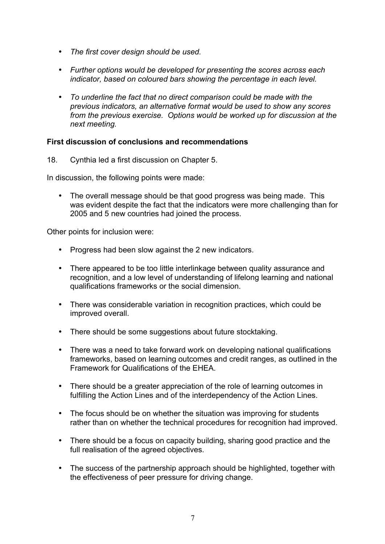- *The first cover design should be used.*
- *Further options would be developed for presenting the scores across each indicator, based on coloured bars showing the percentage in each level.*
- *To underline the fact that no direct comparison could be made with the previous indicators, an alternative format would be used to show any scores from the previous exercise. Options would be worked up for discussion at the next meeting.*

#### **First discussion of conclusions and recommendations**

18. Cynthia led a first discussion on Chapter 5.

In discussion, the following points were made:

• The overall message should be that good progress was being made. This was evident despite the fact that the indicators were more challenging than for 2005 and 5 new countries had joined the process.

Other points for inclusion were:

- Progress had been slow against the 2 new indicators.
- There appeared to be too little interlinkage between quality assurance and recognition, and a low level of understanding of lifelong learning and national qualifications frameworks or the social dimension.
- There was considerable variation in recognition practices, which could be improved overall.
- There should be some suggestions about future stocktaking.
- There was a need to take forward work on developing national qualifications frameworks, based on learning outcomes and credit ranges, as outlined in the Framework for Qualifications of the EHEA.
- There should be a greater appreciation of the role of learning outcomes in fulfilling the Action Lines and of the interdependency of the Action Lines.
- The focus should be on whether the situation was improving for students rather than on whether the technical procedures for recognition had improved.
- There should be a focus on capacity building, sharing good practice and the full realisation of the agreed objectives.
- The success of the partnership approach should be highlighted, together with the effectiveness of peer pressure for driving change.